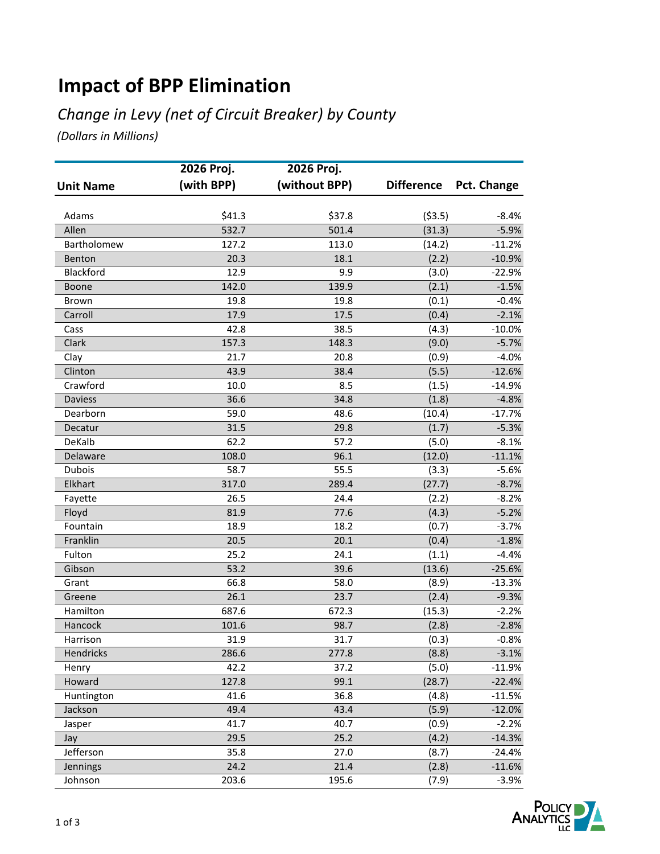## **Impact of BPP Elimination**

#### *Change in Levy (net of Circuit Breaker) by County*

*(Dollars in Millions)*

|                  | 2026 Proj. | 2026 Proj.    |                   |             |
|------------------|------------|---------------|-------------------|-------------|
| <b>Unit Name</b> | (with BPP) | (without BPP) | <b>Difference</b> | Pct. Change |
|                  |            |               |                   |             |
| Adams            | \$41.3     | \$37.8        | (53.5)            | $-8.4%$     |
| Allen            | 532.7      | 501.4         | (31.3)            | $-5.9%$     |
| Bartholomew      | 127.2      | 113.0         | (14.2)            | $-11.2%$    |
| Benton           | 20.3       | 18.1          | (2.2)             | $-10.9%$    |
| Blackford        | 12.9       | 9.9           | (3.0)             | $-22.9%$    |
| Boone            | 142.0      | 139.9         | (2.1)             | $-1.5%$     |
| <b>Brown</b>     | 19.8       | 19.8          | (0.1)             | $-0.4%$     |
| Carroll          | 17.9       | 17.5          | (0.4)             | $-2.1%$     |
| Cass             | 42.8       | 38.5          | (4.3)             | $-10.0%$    |
| Clark            | 157.3      | 148.3         | (9.0)             | $-5.7%$     |
| Clay             | 21.7       | 20.8          | (0.9)             | $-4.0%$     |
| Clinton          | 43.9       | 38.4          | (5.5)             | $-12.6%$    |
| Crawford         | 10.0       | 8.5           | (1.5)             | $-14.9%$    |
| <b>Daviess</b>   | 36.6       | 34.8          | (1.8)             | $-4.8%$     |
| Dearborn         | 59.0       | 48.6          | (10.4)            | $-17.7%$    |
| Decatur          | 31.5       | 29.8          | (1.7)             | $-5.3%$     |
| DeKalb           | 62.2       | 57.2          | (5.0)             | $-8.1%$     |
| Delaware         | 108.0      | 96.1          | (12.0)            | $-11.1%$    |
| Dubois           | 58.7       | 55.5          | (3.3)             | $-5.6%$     |
| Elkhart          | 317.0      | 289.4         | (27.7)            | $-8.7%$     |
| Fayette          | 26.5       | 24.4          | (2.2)             | $-8.2%$     |
| Floyd            | 81.9       | 77.6          | (4.3)             | $-5.2%$     |
| Fountain         | 18.9       | 18.2          | (0.7)             | $-3.7%$     |
| Franklin         | 20.5       | 20.1          | (0.4)             | $-1.8%$     |
| Fulton           | 25.2       | 24.1          | (1.1)             | $-4.4%$     |
| Gibson           | 53.2       | 39.6          | (13.6)            | $-25.6%$    |
| Grant            | 66.8       | 58.0          | (8.9)             | $-13.3%$    |
| Greene           | 26.1       | 23.7          | (2.4)             | $-9.3%$     |
| Hamilton         | 687.6      | 672.3         | (15.3)            | $-2.2%$     |
| Hancock          | 101.6      | 98.7          | (2.8)             | $-2.8%$     |
| Harrison         | 31.9       | 31.7          | (0.3)             | $-0.8%$     |
| Hendricks        | 286.6      | 277.8         | (8.8)             | $-3.1%$     |
| Henry            | 42.2       | 37.2          | (5.0)             | $-11.9%$    |
| Howard           | 127.8      | 99.1          | (28.7)            | $-22.4%$    |
| Huntington       | 41.6       | 36.8          | (4.8)             | $-11.5%$    |
| Jackson          | 49.4       | 43.4          | (5.9)             | $-12.0%$    |
| Jasper           | 41.7       | 40.7          | (0.9)             | $-2.2%$     |
| Jay              | 29.5       | 25.2          | (4.2)             | $-14.3%$    |
| Jefferson        | 35.8       | 27.0          | (8.7)             | $-24.4%$    |
| Jennings         | 24.2       | 21.4          | (2.8)             | $-11.6%$    |
| Johnson          | 203.6      | 195.6         | (7.9)             | $-3.9%$     |

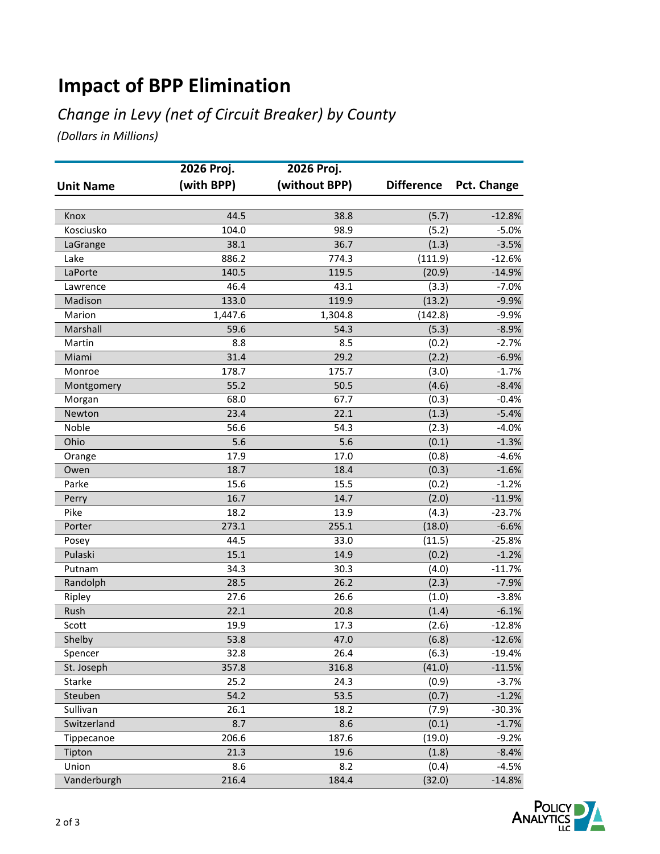# **Impact of BPP Elimination**

#### *Change in Levy (net of Circuit Breaker) by County*

*(Dollars in Millions)*

|                  | 2026 Proj. | 2026 Proj.    |                   |             |
|------------------|------------|---------------|-------------------|-------------|
| <b>Unit Name</b> | (with BPP) | (without BPP) | <b>Difference</b> | Pct. Change |
|                  |            |               |                   |             |
| Knox             | 44.5       | 38.8          | (5.7)             | $-12.8%$    |
| Kosciusko        | 104.0      | 98.9          | (5.2)             | $-5.0%$     |
| LaGrange         | 38.1       | 36.7          | (1.3)             | $-3.5%$     |
| Lake             | 886.2      | 774.3         | (111.9)           | $-12.6%$    |
| LaPorte          | 140.5      | 119.5         | (20.9)            | $-14.9%$    |
| Lawrence         | 46.4       | 43.1          | (3.3)             | $-7.0%$     |
| Madison          | 133.0      | 119.9         | (13.2)            | $-9.9%$     |
| Marion           | 1,447.6    | 1,304.8       | (142.8)           | $-9.9%$     |
| Marshall         | 59.6       | 54.3          | (5.3)             | $-8.9%$     |
| Martin           | 8.8        | 8.5           | (0.2)             | $-2.7%$     |
| Miami            | 31.4       | 29.2          | (2.2)             | $-6.9%$     |
| Monroe           | 178.7      | 175.7         | (3.0)             | $-1.7%$     |
| Montgomery       | 55.2       | 50.5          | (4.6)             | $-8.4%$     |
| Morgan           | 68.0       | 67.7          | (0.3)             | $-0.4%$     |
| Newton           | 23.4       | 22.1          | (1.3)             | $-5.4%$     |
| Noble            | 56.6       | 54.3          | (2.3)             | $-4.0%$     |
| Ohio             | 5.6        | 5.6           | (0.1)             | $-1.3%$     |
| Orange           | 17.9       | 17.0          | (0.8)             | $-4.6%$     |
| Owen             | 18.7       | 18.4          | (0.3)             | $-1.6%$     |
| Parke            | 15.6       | 15.5          | (0.2)             | $-1.2%$     |
| Perry            | 16.7       | 14.7          | (2.0)             | $-11.9%$    |
| Pike             | 18.2       | 13.9          | (4.3)             | $-23.7%$    |
| Porter           | 273.1      | 255.1         | (18.0)            | $-6.6%$     |
| Posey            | 44.5       | 33.0          | (11.5)            | $-25.8%$    |
| Pulaski          | 15.1       | 14.9          | (0.2)             | $-1.2%$     |
| Putnam           | 34.3       | 30.3          | (4.0)             | $-11.7%$    |
| Randolph         | 28.5       | 26.2          | (2.3)             | $-7.9%$     |
| Ripley           | 27.6       | 26.6          | (1.0)             | $-3.8%$     |
| Rush             | 22.1       | 20.8          | (1.4)             | $-6.1%$     |
| Scott            | 19.9       | 17.3          | (2.6)             | $-12.8%$    |
| Shelby           | 53.8       | 47.0          | (6.8)             | $-12.6%$    |
| Spencer          | 32.8       | 26.4          | (6.3)             | $-19.4%$    |
| St. Joseph       | 357.8      | 316.8         | (41.0)            | $-11.5%$    |
| Starke           | 25.2       | 24.3          | (0.9)             | $-3.7%$     |
| Steuben          | 54.2       | 53.5          | (0.7)             | $-1.2%$     |
| Sullivan         | 26.1       | 18.2          | (7.9)             | $-30.3%$    |
| Switzerland      | 8.7        | 8.6           | (0.1)             | $-1.7%$     |
| Tippecanoe       | 206.6      | 187.6         | (19.0)            | $-9.2%$     |
| Tipton           | 21.3       | 19.6          | (1.8)             | $-8.4%$     |
| Union            | 8.6        | 8.2           | (0.4)             | $-4.5%$     |
| Vanderburgh      | 216.4      | 184.4         | (32.0)            | $-14.8%$    |